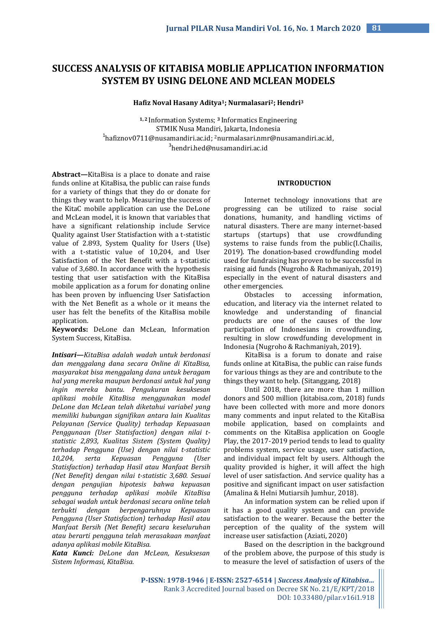# **SUCCESS ANALYSIS OF KITABISA MOBLIE APPLICATION INFORMATION SYSTEM BY USING DELONE AND MCLEAN MODELS**

**Hafiz Noval Hasany Aditya1; Nurmalasari2; Hendri<sup>3</sup>**

**1, 2** Information Systems; **3** Informatics Engineering STMIK Nusa Mandiri, Jakarta, Indonesia  $^1$ hafiznov $0711$ @nusamandiri.ac.id; <sup>2</sup>[nurmalasari.nmr@nusamandiri.ac.id,](mailto:nurmalasari.nmr@nusamandiri.ac.id) <sup>3</sup>[hendri.hed@nusamandiri.ac.id](mailto:hendri.hed@nusamandiri.ac.id)

**Abstract—**KitaBisa is a place to donate and raise funds online at KitaBisa, the public can raise funds for a variety of things that they do or donate for things they want to help. Measuring the success of the KitaC mobile application can use the DeLone and McLean model, it is known that variables that have a significant relationship include Service Quality against User Statisfaction with a t-statistic value of 2.893, System Quality for Users (Use) with a t-statistic value of 10,204, and User Satisfaction of the Net Benefit with a t-statistic value of 3,680. In accordance with the hypothesis testing that user satisfaction with the KitaBisa mobile application as a forum for donating online has been proven by influencing User Satisfaction with the Net Benefit as a whole or it means the user has felt the benefits of the KitaBisa mobile application.

**Keywords:** DeLone dan McLean, Information System Success, KitaBisa.

*Intisari—KitaBisa adalah wadah untuk berdonasi dan menggalang dana secara Online di KitaBisa, masyarakat bisa menggalang dana untuk beragam hal yang mereka maupun berdonasi untuk hal yang ingin mereka bantu. Pengukuran kesuksesan aplikasi mobile KitaBisa menggunakan model DeLone dan McLean telah diketahui variabel yang memiliki hubungan signifikan antara lain Kualitas Pelayanan (Service Quality) terhadap Kepuasaan Penggunaan (User Statisfaction) dengan nilai tstatistic 2,893, Kualitas Sistem (System Quality) terhadap Pengguna (Use) dengan nilai t-statistic 10,204, serta Kepuasan Pengguna (User Statisfaction) terhadap Hasil atau Manfaat Bersih (Net Benefit) dengan nilai t-statistic 3,680. Sesuai dengan pengujian hipotesis bahwa kepuasan pengguna terhadap aplikasi mobile KitaBisa sebagai wadah untuk berdonasi secara online telah terbukti dengan berpengaruhnya Kepuasan Pengguna (User Statisfaction) terhadap Hasil atau Manfaat Bersih (Net Benefit) secara keseluruhan atau berarti pengguna telah merasakaan manfaat adanya aplikasi mobile KitaBisa.*

*Kata Kunci: DeLone dan McLean, Kesuksesan Sistem Informasi, KitaBisa.*

## **INTRODUCTION**

Internet technology innovations that are progressing can be utilized to raise social donations, humanity, and handling victims of natural disasters. There are many internet-based startups (startups) that use crowdfunding systems to raise funds from the public(I.Chailis, 2019). The donation-based crowdfunding model used for fundraising has proven to be successful in raising aid funds (Nugroho & Rachmaniyah, 2019) especially in the event of natural disasters and other emergencies.

Obstacles to accessing information, education, and literacy via the internet related to knowledge and understanding of financial products are one of the causes of the low participation of Indonesians in crowdfunding, resulting in slow crowdfunding development in Indonesia (Nugroho & Rachmaniyah, 2019).

KitaBisa is a forum to donate and raise funds online at KitaBisa, the public can raise funds for various things as they are and contribute to the things they want to help. (Sitanggang, 2018)

Until 2018, there are more than 1 million donors and 500 million (kitabisa.com, 2018) funds have been collected with more and more donors many comments and input related to the KitaBisa mobile application, based on complaints and comments on the KitaBisa application on Google Play, the 2017-2019 period tends to lead to quality problems system, service usage, user satisfaction, and individual impact felt by users. Although the quality provided is higher, it will affect the high level of user satisfaction. And service quality has a positive and significant impact on user satisfaction (Amalina & Helni Mutiarsih Jumhur, 2018).

An information system can be relied upon if it has a good quality system and can provide satisfaction to the wearer. Because the better the perception of the quality of the system will increase user satisfaction (Aziati, 2020)

Based on the description in the background of the problem above, the purpose of this study is to measure the level of satisfaction of users of the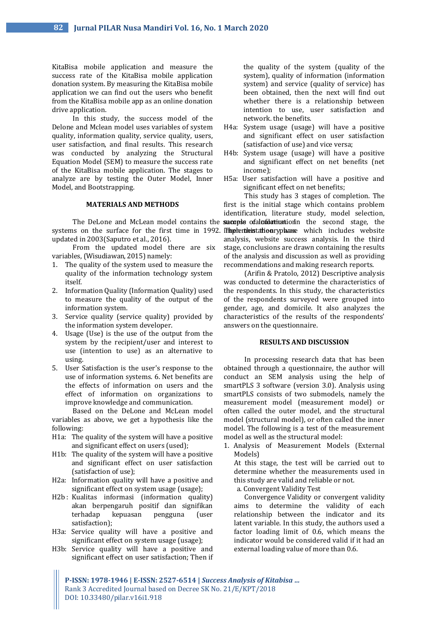KitaBisa mobile application and measure the success rate of the KitaBisa mobile application donation system. By measuring the KitaBisa mobile application we can find out the users who benefit from the KitaBisa mobile app as an online donation drive application.

In this study, the success model of the Delone and Mclean model uses variables of system quality, information quality, service quality, users, user satisfaction, and final results. This research was conducted by analyzing the Structural Equation Model (SEM) to measure the success rate of the KitaBisa mobile application. The stages to analyze are by testing the Outer Model, Inner Model, and Bootstrapping.

## **MATERIALS AND METHODS**

systems on the surface for the first time in 1992. If the phemile istation ryphase which includes website updated in 2003(Saputro et al., 2016).

From the updated model there are six variables, (Wisudiawan, 2015) namely:

- 1. The quality of the system used to measure the quality of the information technology system itself.
- 2. Information Quality (Information Quality) used to measure the quality of the output of the information system.
- 3. Service quality (service quality) provided by the information system developer.
- 4. Usage (Use) is the use of the output from the system by the recipient/user and interest to use (intention to use) as an alternative to using.
- 5. User Satisfaction is the user's response to the use of information systems. 6. Net benefits are the effects of information on users and the effect of information on organizations to improve knowledge and communication.

Based on the DeLone and McLean model variables as above, we get a hypothesis like the following:

- H1a: The quality of the system will have a positive and significant effect on users (used);
- H1b: The quality of the system will have a positive and significant effect on user satisfaction (satisfaction of use);
- H2a: Information quality will have a positive and significant effect on system usage (usage);
- H2b : Kualitas informasi (information quality) akan berpengaruh positif dan signifikan terhadap kepuasan pengguna (user satisfaction);
- H3a: Service quality will have a positive and significant effect on system usage (usage);
- H3b: Service quality will have a positive and significant effect on user satisfaction; Then if

the quality of the system (quality of the system), quality of information (information system) and service (quality of service) has been obtained, then the next will find out whether there is a relationship between intention to use, user satisfaction and network. the benefits.

- H4a: System usage (usage) will have a positive and significant effect on user satisfaction (satisfaction of use) and vice versa;
- H4b: System usage (usage) will have a positive and significant effect on net benefits (net income);
- H5a: User satisfaction will have a positive and significant effect on net benefits;

The DeLone and McLean model contains the **succepts of alget and interpretation** the second stage, the This study has 3 stages of completion. The first is the initial stage which contains problem identification, literature study, model selection, analysis, website success analysis. In the third stage, conclusions are drawn containing the results of the analysis and discussion as well as providing recommendations and making research reports.

> (Arifin & Pratolo, 2012) Descriptive analysis was conducted to determine the characteristics of the respondents. In this study, the characteristics of the respondents surveyed were grouped into gender, age, and domicile. It also analyzes the characteristics of the results of the respondents' answers on the questionnaire.

### **RESULTS AND DISCUSSION**

In processing research data that has been obtained through a questionnaire, the author will conduct an SEM analysis using the help of smartPLS 3 software (version 3.0). Analysis using smartPLS consists of two submodels, namely the measurement model (measurement model) or often called the outer model, and the structural model (structural model), or often called the inner model. The following is a test of the measurement model as well as the structural model:

1. Analysis of Measurement Models (External Models)

At this stage, the test will be carried out to determine whether the measurements used in this study are valid and reliable or not.

a. Convergent Validity Test

Convergence Validity or convergent validity aims to determine the validity of each relationship between the indicator and its latent variable. In this study, the authors used a factor loading limit of 0.6, which means the indicator would be considered valid if it had an external loading value of more than 0.6.

**P-ISSN: 1978-1946 | E-ISSN: 2527-6514 |** *Success Analysis of Kitabisa …* Rank 3 Accredited Journal based on Decree SK No. 21/E/KPT/2018 DOI: 10.33480/pilar.v16i1.918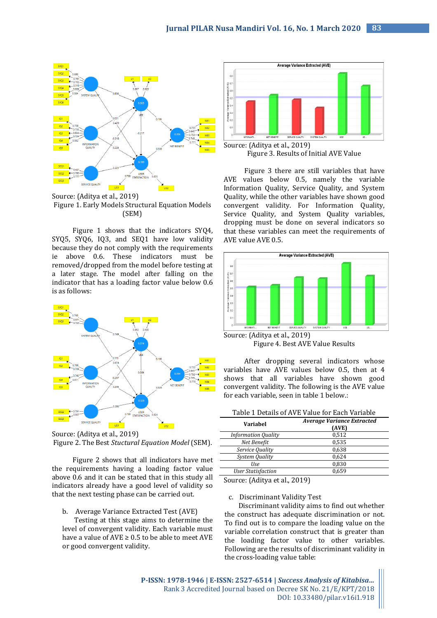

Figure 1. Early Models Structural Equation Models (SEM)

Figure 1 shows that the indicators SYQ4, SYQ5, SYQ6, IQ3, and SEQ1 have low validity because they do not comply with the requirements ie above 0.6. These indicators must be removed/dropped from the model before testing at a later stage. The model after falling on the indicator that has a loading factor value below 0.6 is as follows:



Figure 2. The Best *Stuctural Equation Model* (SEM).

Figure 2 shows that all indicators have met the requirements having a loading factor value above 0.6 and it can be stated that in this study all indicators already have a good level of validity so that the next testing phase can be carried out.

# b. Average Variance Extracted Test (AVE)

Testing at this stage aims to determine the level of convergent validity. Each variable must have a value of  $AVE \geq 0.5$  to be able to meet  $AVE$ or good convergent validity.





Figure 3 there are still variables that have AVE values below 0.5, namely the variable Information Quality, Service Quality, and System Quality, while the other variables have shown good convergent validity. For Information Quality, Service Quality, and System Quality variables, dropping must be done on several indicators so that these variables can meet the requirements of AVE value AVE 0.5.



Figure 4. Best AVE Value Results

After dropping several indicators whose variables have AVE values below 0.5, then at 4 shows that all variables have shown good convergent validity. The following is the AVE value for each variable, seen in table 1 below.:

| Table 1 Details of AVE Value for Each Variable |  |
|------------------------------------------------|--|
|------------------------------------------------|--|

| Variabel                   | <b>Average Variance Extracted</b><br>(AVE) |
|----------------------------|--------------------------------------------|
| <b>Information Quality</b> | 0,512                                      |
| Net Benefit                | 0.535                                      |
| Service Quality            | 0,638                                      |
| <b>System Quality</b>      | 0.624                                      |
| Use                        | 0.830                                      |
| <b>User Statisfaction</b>  | 0.659                                      |
|                            |                                            |

Source: (Aditya et al., 2019)

#### c. Discriminant Validity Test

Discriminant validity aims to find out whether the construct has adequate discrimination or not. To find out is to compare the loading value on the variable correlation construct that is greater than the loading factor value to other variables. Following are the results of discriminant validity in the cross-loading value table: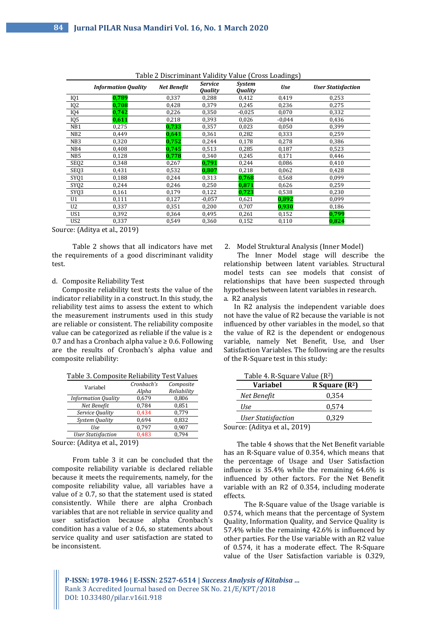|                  | <b>Information Quality</b> | <b>Net Benefit</b> | <b>Service</b><br><b>Quality</b> | System<br><b>Ouality</b> | Use      | <b>User Statisfaction</b> |
|------------------|----------------------------|--------------------|----------------------------------|--------------------------|----------|---------------------------|
| IQ1              | 0,789                      | 0,337              | 0,288                            | 0,412                    | 0,419    | 0,253                     |
| IQ <sub>2</sub>  | 0,708                      | 0,428              | 0,379                            | 0,245                    | 0,236    | 0,275                     |
| IQ4              | 0,742                      | 0,226              | 0,350                            | $-0.025$                 | 0,070    | 0,332                     |
| IQ5              | 0,611                      | 0,218              | 0,393                            | 0,026                    | $-0.044$ | 0,436                     |
| NB1              | 0,275                      | 0,733              | 0,357                            | 0,023                    | 0,050    | 0,399                     |
| NB <sub>2</sub>  | 0,449                      | 0,641              | 0,361                            | 0,282                    | 0,333    | 0,259                     |
| NB <sub>3</sub>  | 0,320                      | 0,752              | 0,244                            | 0,178                    | 0,278    | 0,386                     |
| NB4              | 0,408                      | 0,745              | 0,513                            | 0,285                    | 0,187    | 0,523                     |
| NB <sub>5</sub>  | 0,128                      | 0,778              | 0,340                            | 0,245                    | 0,171    | 0,446                     |
| SEQ <sub>2</sub> | 0,348                      | 0,267              | 0,791                            | 0,244                    | 0,086    | 0,410                     |
| SEQ3             | 0,431                      | 0,532              | 0,807                            | 0,218                    | 0,062    | 0,428                     |
| SYQ1             | 0,188                      | 0,244              | 0,313                            | 0,768                    | 0,568    | 0,099                     |
| SYQ2             | 0,244                      | 0,246              | 0,250                            | 0,871                    | 0,626    | 0,259                     |
| SYQ3             | 0,161                      | 0,179              | 0,122                            | 0,723                    | 0,538    | 0,230                     |
| U1               | 0,111                      | 0,127              | $-0,057$                         | 0,621                    | 0,892    | 0,099                     |
| U2               | 0,337                      | 0,351              | 0,200                            | 0,707                    | 0,930    | 0,186                     |
| US1              | 0,392                      | 0,364              | 0,495                            | 0,261                    | 0,152    | 0,799                     |
| US <sub>2</sub>  | 0,337                      | 0,549              | 0,360                            | 0,152                    | 0,110    | 0,824                     |

Table 2 Discriminant Validity Value (Cross Loadings)

Source: (Aditya et al., 2019)

Table 2 shows that all indicators have met the requirements of a good discriminant validity test.

#### d. Composite Reliability Test

Composite reliability test tests the value of the indicator reliability in a construct. In this study, the reliability test aims to assess the extent to which the measurement instruments used in this study are reliable or consistent. The reliability composite value can be categorized as reliable if the value is ≥ 0.7 and has a Cronbach alpha value  $\geq$  0.6. Following are the results of Cronbach's alpha value and composite reliability:

| Table 3. Composite Reliability Test Values |  |  |
|--------------------------------------------|--|--|
|--------------------------------------------|--|--|

| Variabel                   | Cronbach's | Composite   |
|----------------------------|------------|-------------|
|                            | Alpha      | Reliability |
| <b>Information Quality</b> | 0,679      | 0,806       |
| Net Benefit                | 0,784      | 0.851       |
| Service Quality            | 0,434      | 0.779       |
| <b>System Quality</b>      | 0,694      | 0,832       |
| Use                        | 0.797      | 0,907       |
| <b>User Statisfaction</b>  | 0,483      | 0.794       |

Source: (Aditya et al., 2019)

From table 3 it can be concluded that the composite reliability variable is declared reliable because it meets the requirements, namely, for the composite reliability value, all variables have a value of ≥ 0.7, so that the statement used is stated consistently. While there are alpha Cronbach variables that are not reliable in service quality and user satisfaction because alpha Cronbach's condition has a value of  $\geq 0.6$ , so statements about service quality and user satisfaction are stated to be inconsistent.

2. Model Struktural Analysis (Inner Model)

 The Inner Model stage will describe the relationship between latent variables. Structural model tests can see models that consist of relationships that have been suspected through hypotheses between latent variables in research. a. R2 analysis

In R2 analysis the independent variable does not have the value of R2 because the variable is not influenced by other variables in the model, so that the value of R2 is the dependent or endogenous variable, namely Net Benefit, Use, and User Satisfaction Variables. The following are the results of the R-Square test in this study:

| Table 4. R-Square Value (R <sup>2</sup> ) |  |  |
|-------------------------------------------|--|--|
|-------------------------------------------|--|--|

| Variabel                    | R Square $(R^2)$ |
|-----------------------------|------------------|
| Net Benefit                 | 0.354            |
| Use                         | 0.574            |
| User Statisfaction          | 0.329            |
| 1010 - 10 cm curro (∆ditya) |                  |

Source: (Aditya et al., 2019)

The table 4 shows that the Net Benefit variable has an R-Square value of 0.354, which means that the percentage of Usage and User Satisfaction influence is 35.4% while the remaining 64.6% is influenced by other factors. For the Net Benefit variable with an R2 of 0.354, including moderate effects.

The R-Square value of the Usage variable is 0.574, which means that the percentage of System Quality, Information Quality, and Service Quality is 57.4% while the remaining 42.6% is influenced by other parties. For the Use variable with an R2 value of 0.574, it has a moderate effect. The R-Square value of the User Satisfaction variable is 0.329,

**P-ISSN: 1978-1946 | E-ISSN: 2527-6514 |** *Success Analysis of Kitabisa …* Rank 3 Accredited Journal based on Decree SK No. 21/E/KPT/2018 DOI: 10.33480/pilar.v16i1.918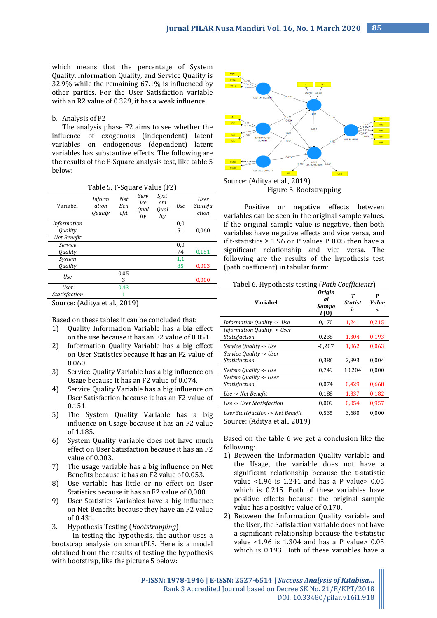which means that the percentage of System Quality, Information Quality, and Service Quality is 32.9% while the remaining 67.1% is influenced by other parties. For the User Satisfaction variable with an R2 value of 0.329, it has a weak influence.

#### b. Analysis of F2

The analysis phase F2 aims to see whether the influence of exogenous (independent) latent variables on endogenous (dependent) latent variables has substantive effects. The following are the results of the F-Square analysis test, like table 5 below:

| Table 5. F-Square Value (F2) |                                   |                           |                                   |                           |     |                                  |
|------------------------------|-----------------------------------|---------------------------|-----------------------------------|---------------------------|-----|----------------------------------|
| Variabel                     | <b>Inform</b><br>ation<br>Quality | <b>Net</b><br>Ben<br>efit | Serv<br>ice<br><b>Oual</b><br>ity | Syst<br>em<br>Oual<br>ity | Use | <b>User</b><br>Statisfa<br>ction |
| <i>Information</i>           |                                   |                           |                                   |                           | 0,0 |                                  |
| <i><b>Quality</b></i>        |                                   |                           |                                   |                           | 51  | 0,060                            |
| Net Benefit                  |                                   |                           |                                   |                           |     |                                  |
| Service                      |                                   |                           |                                   |                           | 0,0 |                                  |
| Quality                      |                                   |                           |                                   |                           | 74  | 0,151                            |
| System                       |                                   |                           |                                   |                           | 1,1 |                                  |
| <i><b>Quality</b></i>        |                                   |                           |                                   |                           | 85  | 0,003                            |
| Use                          |                                   | 0,05                      |                                   |                           |     |                                  |
|                              |                                   | 3                         |                                   |                           |     | 0,000                            |
| <b>User</b>                  |                                   | 0,43                      |                                   |                           |     |                                  |
| <b>Statisfaction</b>         |                                   |                           |                                   |                           |     |                                  |
|                              |                                   |                           |                                   |                           |     |                                  |

Source: (Aditya et al., 2019)

Based on these tables it can be concluded that:

- 1) Quality Information Variable has a big effect on the use because it has an F2 value of 0.051.
- 2) Information Quality Variable has a big effect on User Statistics because it has an F2 value of 0.060.
- 3) Service Quality Variable has a big influence on Usage because it has an F2 value of 0.074.
- 4) Service Quality Variable has a big influence on User Satisfaction because it has an F2 value of 0.151.
- 5) The System Quality Variable has a big influence on Usage because it has an F2 value of 1.185.
- 6) System Quality Variable does not have much effect on User Satisfaction because it has an F2 value of 0.003.
- 7) The usage variable has a big influence on Net Benefits because it has an F2 value of 0.053.
- 8) Use variable has little or no effect on User Statistics because it has an F2 value of 0,000.
- 9) User Statistics Variables have a big influence on Net Benefits because they have an F2 value of 0.431.
- 3. Hypothesis Testing (*Bootstrapping*)

In testing the hypothesis, the author uses a bootstrap analysis on smartPLS. Here is a model obtained from the results of testing the hypothesis with bootstrap, like the picture 5 below:



Figure 5. Bootstrapping

Positive or negative effects between variables can be seen in the original sample values. If the original sample value is negative, then both variables have negative effects and vice versa, and if t-statistics ≥ 1.96 or P values P 0.05 then have a significant relationship and vice versa. The following are the results of the hypothesis test (path coefficient) in tabular form:

| Tabel 6. Hypothesis testing (Path Coefficients) |  |  |
|-------------------------------------------------|--|--|
|                                                 |  |  |

| Variabel                          | <b>Origin</b><br>αI<br><b>Sampe</b><br>l(0) | T<br><b>Statist</b><br>ic | P<br>Value<br>S |
|-----------------------------------|---------------------------------------------|---------------------------|-----------------|
| Information Quality -> Use        | 0,170                                       | 1,241                     | 0,215           |
| Information Quality -> User       |                                             |                           |                 |
| <b>Statisfaction</b>              | 0,238                                       | 1,304                     | 0,193           |
| Service Quality -> Use            | $-0,207$                                    | 1,862                     | 0,063           |
| Service Quality -> User           | 0,386                                       | 2,893                     | 0,004           |
| <b>Statisfaction</b>              |                                             |                           |                 |
| System Quality -> Use             | 0,749                                       | 10,204                    | 0,000           |
| System Quality -> User            |                                             |                           |                 |
| <b>Statisfaction</b>              | 0.074                                       | 0,429                     | 0,668           |
| Use -> Net Benefit                | 0,188                                       | 1,337                     | 0,182           |
| Use -> User Statisfaction         | 0,009                                       | 0,054                     | 0,957           |
| User Statisfaction -> Net Benefit | 0,535                                       | 3,680                     | 0,000           |
|                                   |                                             |                           |                 |

Source: (Aditya et al., 2019)

Based on the table 6 we get a conclusion like the following:

- 1) Between the Information Quality variable and the Usage, the variable does not have a significant relationship because the t-statistic value <1.96 is 1.241 and has a P value> 0.05 which is 0.215. Both of these variables have positive effects because the original sample value has a positive value of 0.170.
- 2) Between the Information Quality variable and the User, the Satisfaction variable does not have a significant relationship because the t-statistic value <1.96 is 1.304 and has a P value> 0.05 which is 0.193. Both of these variables have a

**P-ISSN: 1978-1946 | E-ISSN: 2527-6514 |** *Success Analysis of Kitabisa…* Rank 3 Accredited Journal based on Decree SK No. 21/E/KPT/2018 DOI: 10.33480/pilar.v16i1.918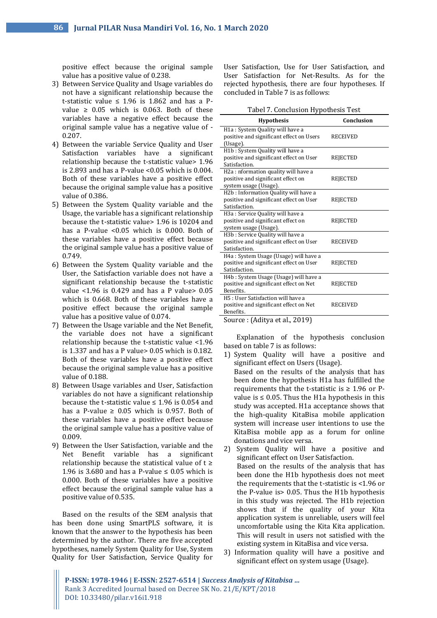positive effect because the original sample value has a positive value of 0.238.

- 3) Between Service Quality and Usage variables do not have a significant relationship because the t-statistic value  $\leq 1.96$  is 1.862 and has a Pvalue  $\geq 0.05$  which is 0.063. Both of these variables have a negative effect because the original sample value has a negative value of - 0.207.
- 4) Between the variable Service Quality and User Satisfaction variables have a significant relationship because the t-statistic value> 1.96 is 2.893 and has a P-value  $\leq 0.05$  which is 0.004. Both of these variables have a positive effect because the original sample value has a positive value of 0.386.
- 5) Between the System Quality variable and the Usage, the variable has a significant relationship because the t-statistic value> 1.96 is 10204 and has a P-value <0.05 which is 0.000. Both of these variables have a positive effect because the original sample value has a positive value of 0.749.
- 6) Between the System Quality variable and the User, the Satisfaction variable does not have a significant relationship because the t-statistic value <1.96 is 0.429 and has a P value> 0.05 which is 0.668. Both of these variables have a positive effect because the original sample value has a positive value of 0.074.
- 7) Between the Usage variable and the Net Benefit, the variable does not have a significant relationship because the t-statistic value <1.96 is 1.337 and has a P value> 0.05 which is 0.182. Both of these variables have a positive effect because the original sample value has a positive value of 0.188.
- 8) Between Usage variables and User, Satisfaction variables do not have a significant relationship because the t-statistic value  $\leq 1.96$  is 0.054 and has a P-value  $\geq 0.05$  which is 0.957. Both of these variables have a positive effect because the original sample value has a positive value of 0.009.
- 9) Between the User Satisfaction, variable and the Net Benefit variable has a significant relationship because the statistical value of  $t \geq$ 1.96 is 3.680 and has a P-value  $\leq$  0.05 which is 0.000. Both of these variables have a positive effect because the original sample value has a positive value of 0.535.

Based on the results of the SEM analysis that has been done using SmartPLS software, it is known that the answer to the hypothesis has been determined by the author. There are five accepted hypotheses, namely System Quality for Use, System Quality for User Satisfaction, Service Quality for User Satisfaction, Use for User Satisfaction, and User Satisfaction for Net-Results. As for the rejected hypothesis, there are four hypotheses. If concluded in Table 7 is as follows:

Tabel 7. Conclusion Hypothesis Test

| <b>Hypothesis</b>                                                                                  | Conclusion      |
|----------------------------------------------------------------------------------------------------|-----------------|
| H1a: System Quality will have a<br>positive and significant effect on Users<br>(Usage).            | <b>RECEIVED</b> |
| H1b: System Quality will have a<br>positive and significant effect on User<br>Satisfaction.        | REJECTED        |
| H2a: nformation quality will have a<br>positive and significant effect on<br>system usage (Usage). | REJECTED        |
| H2b : Information Quality will have a<br>positive and significant effect on User<br>Satisfaction.  | <b>REJECTED</b> |
| H3a : Service Quality will have a<br>positive and significant effect on<br>system usage (Usage).   | <b>REJECTED</b> |
| H3b: Service Quality will have a<br>positive and significant effect on User<br>Satisfaction.       | <b>RECEIVED</b> |
| H4a : System Usage (Usage) will have a<br>positive and significant effect on User<br>Satisfaction. | REJECTED        |
| H4b: System Usage (Usage) will have a<br>positive and significant effect on Net<br>Benefits.       | <b>REJECTED</b> |
| H5 : User Satisfaction will have a<br>positive and significant effect on Net<br>Benefits.          | <b>RECEIVED</b> |
| Source: (Aditya et al., 2019)                                                                      |                 |

Explanation of the hypothesis conclusion based on table 7 is as follows:

- 1) System Quality will have a positive and significant effect on Users (Usage).
	- Based on the results of the analysis that has been done the hypothesis H1a has fulfilled the requirements that the t-statistic is  $\geq 1.96$  or Pvalue is ≤ 0.05. Thus the H1a hypothesis in this study was accepted. H1a acceptance shows that the high-quality KitaBisa mobile application system will increase user intentions to use the KitaBisa mobile app as a forum for online donations and vice versa.
- 2) System Quality will have a positive and significant effect on User Satisfaction. Based on the results of the analysis that has been done the H1b hypothesis does not meet the requirements that the t-statistic is <1.96 or the P-value is> 0.05. Thus the H1b hypothesis in this study was rejected. The H1b rejection shows that if the quality of your Kita application system is unreliable, users will feel uncomfortable using the Kita Kita application. This will result in users not satisfied with the existing system in KitaBisa and vice versa.
- 3) Information quality will have a positive and significant effect on system usage (Usage).

**P-ISSN: 1978-1946 | E-ISSN: 2527-6514 |** *Success Analysis of Kitabisa …* Rank 3 Accredited Journal based on Decree SK No. 21/E/KPT/2018 DOI: 10.33480/pilar.v16i1.918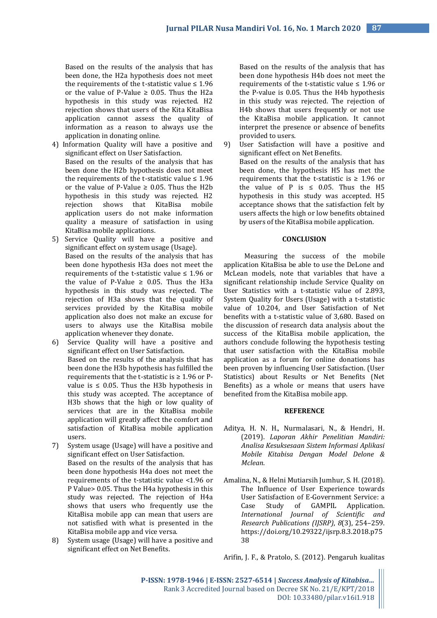Based on the results of the analysis that has been done, the H2a hypothesis does not meet the requirements of the t-statistic value  $\leq 1.96$ or the value of P-Value  $\geq$  0.05. Thus the H2a hypothesis in this study was rejected. H2 rejection shows that users of the Kita KitaBisa application cannot assess the quality of information as a reason to always use the application in donating online.

- 4) Information Quality will have a positive and significant effect on User Satisfaction. Based on the results of the analysis that has been done the H2b hypothesis does not meet the requirements of the t-statistic value  $\leq 1.96$ or the value of P-Value  $\geq$  0.05. Thus the H2b hypothesis in this study was rejected. H2 rejection shows that KitaBisa mobile application users do not make information quality a measure of satisfaction in using KitaBisa mobile applications.
- 5) Service Quality will have a positive and significant effect on system usage (Usage). Based on the results of the analysis that has been done hypothesis H3a does not meet the requirements of the t-statistic value  $\leq 1.96$  or the value of P-Value  $\geq$  0.05. Thus the H3a hypothesis in this study was rejected. The rejection of H3a shows that the quality of services provided by the KitaBisa mobile application also does not make an excuse for users to always use the KitaBisa mobile application whenever they donate.
- 6) Service Quality will have a positive and significant effect on User Satisfaction. Based on the results of the analysis that has been done the H3b hypothesis has fulfilled the requirements that the t-statistic is  $\geq 1.96$  or Pvalue is ≤ 0.05. Thus the H3b hypothesis in this study was accepted. The acceptance of H3b shows that the high or low quality of services that are in the KitaBisa mobile application will greatly affect the comfort and satisfaction of KitaBisa mobile application users.
- 7) System usage (Usage) will have a positive and significant effect on User Satisfaction. Based on the results of the analysis that has been done hypothesis H4a does not meet the requirements of the t-statistic value <1.96 or P Value> 0.05. Thus the H4a hypothesis in this study was rejected. The rejection of H4a shows that users who frequently use the KitaBisa mobile app can mean that users are not satisfied with what is presented in the KitaBisa mobile app and vice versa.
- 8) System usage (Usage) will have a positive and significant effect on Net Benefits.

Based on the results of the analysis that has been done hypothesis H4b does not meet the requirements of the t-statistic value ≤ 1.96 or the P-value is 0.05. Thus the H4b hypothesis in this study was rejected. The rejection of H4b shows that users frequently or not use the KitaBisa mobile application. It cannot interpret the presence or absence of benefits provided to users.

9) User Satisfaction will have a positive and significant effect on Net Benefits.

Based on the results of the analysis that has been done, the hypothesis H5 has met the requirements that the t-statistic is  $\geq 1.96$  or the value of P is  $\leq$  0.05. Thus the H5 hypothesis in this study was accepted. H5 acceptance shows that the satisfaction felt by users affects the high or low benefits obtained by users of the KitaBisa mobile application.

## **CONCLUSION**

Measuring the success of the mobile application KitaBisa be able to use the DeLone and McLean models, note that variables that have a significant relationship include Service Quality on User Statistics with a t-statistic value of 2.893, System Quality for Users (Usage) with a t-statistic value of 10.204, and User Satisfaction of Net benefits with a t-statistic value of 3,680. Based on the discussion of research data analysis about the success of the KitaBisa mobile application, the authors conclude following the hypothesis testing that user satisfaction with the KitaBisa mobile application as a forum for online donations has been proven by influencing User Satisfaction. (User Statistics) about Results or Net Benefits (Net Benefits) as a whole or means that users have benefited from the KitaBisa mobile app.

## **REFERENCE**

- Aditya, H. N. H., Nurmalasari, N., & Hendri, H. (2019). *Laporan Akhir Penelitian Mandiri: Analisa Kesuksesaan Sistem Informasi Aplikasi Mobile Kitabisa Dengan Model Delone & Mclean*.
- Amalina, N., & Helni Mutiarsih Jumhur, S. H. (2018). The Influence of User Experience towards User Satisfaction of E-Government Service: a Case Study of GAMPIL Application. *International Journal of Scientific and Research Publications (IJSRP)*, *8*(3), 254–259. https://doi.org/10.29322/ijsrp.8.3.2018.p75 38

Arifin, J. F., & Pratolo, S. (2012). Pengaruh kualitas

**P-ISSN: 1978-1946 | E-ISSN: 2527-6514 |** *Success Analysis of Kitabisa…* Rank 3 Accredited Journal based on Decree SK No. 21/E/KPT/2018 DOI: 10.33480/pilar.v16i1.918